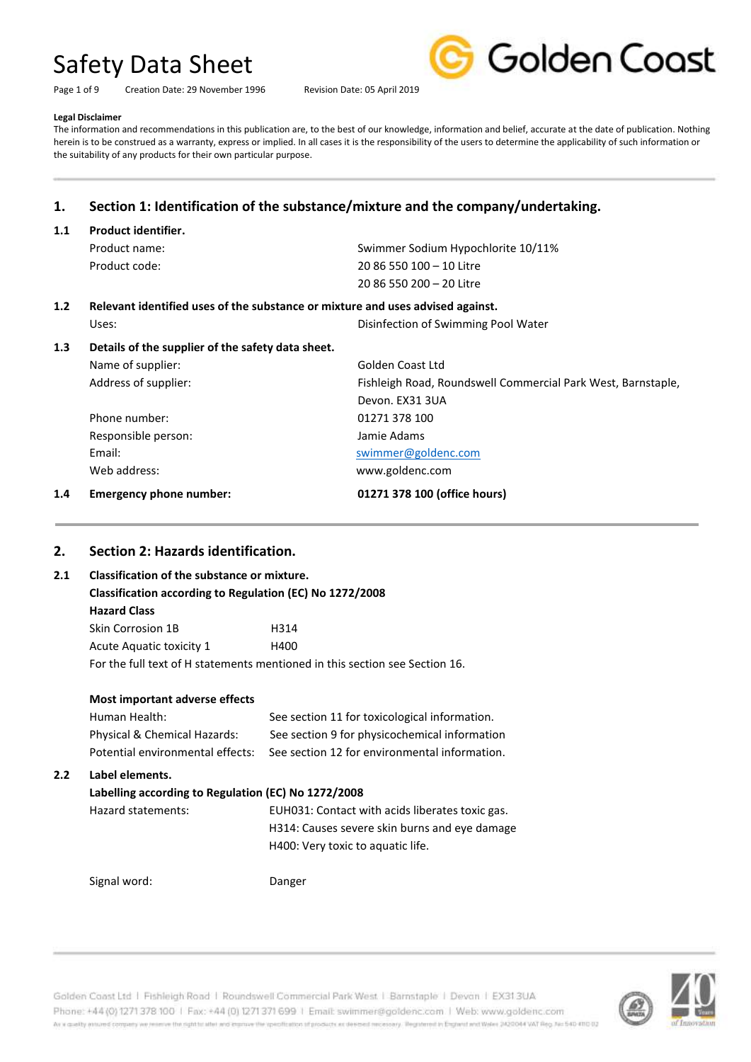Page 1 of 9 Creation Date: 29 November 1996 Revision Date: 05 April 2019



#### **Legal Disclaimer**

The information and recommendations in this publication are, to the best of our knowledge, information and belief, accurate at the date of publication. Nothing herein is to be construed as a warranty, express or implied. In all cases it is the responsibility of the users to determine the applicability of such information or the suitability of any products for their own particular purpose.

## **1. Section 1: Identification of the substance/mixture and the company/undertaking.**

#### **1.1 Product identifier.**

| Product name:   | Swimmer Sodium Hypochlorite 10/11% |
|-----------------|------------------------------------|
| Product code: . | 20 86 550 100 - 10 Litre           |
|                 | 20 86 550 200 - 20 Litre           |
|                 |                                    |

# **1.2 Relevant identified uses of the substance or mixture and uses advised against.**

Uses: Disinfection of Swimming Pool Water

### **1.3 Details of the supplier of the safety data sheet.**

| 1.4 | <b>Emergency phone number:</b> | 01271 378 100 (office hours)                                 |
|-----|--------------------------------|--------------------------------------------------------------|
|     | Web address:                   | www.goldenc.com                                              |
|     | Email:                         | swimmer@goldenc.com                                          |
|     | Responsible person:            | Jamie Adams                                                  |
|     | Phone number:                  | 01271 378 100                                                |
|     |                                | Devon. EX31 3UA                                              |
|     | Address of supplier:           | Fishleigh Road, Roundswell Commercial Park West, Barnstaple, |
|     | Name of supplier:              | Golden Coast Ltd                                             |
|     |                                |                                                              |

# **2. Section 2: Hazards identification.**

| 2.1 |                                                          | Classification of the substance or mixture. |  |  |
|-----|----------------------------------------------------------|---------------------------------------------|--|--|
|     | Classification according to Regulation (EC) No 1272/2008 |                                             |  |  |
|     | <b>Hazard Class</b>                                      |                                             |  |  |
|     | Skin Corrosion 1B                                        | H314                                        |  |  |
|     | Acute Aguatic toxicity 1                                 | H400                                        |  |  |

For the full text of H statements mentioned in this section see Section 16.

|     | Most important adverse effects                      |                                                 |
|-----|-----------------------------------------------------|-------------------------------------------------|
|     | Human Health:                                       | See section 11 for toxicological information.   |
|     | Physical & Chemical Hazards:                        | See section 9 for physicochemical information   |
|     | Potential environmental effects:                    | See section 12 for environmental information.   |
| 2.2 | Label elements.                                     |                                                 |
|     | Labelling according to Regulation (EC) No 1272/2008 |                                                 |
|     | Hazard statements:                                  | EUH031: Contact with acids liberates toxic gas. |
|     |                                                     | H314: Causes severe skin burns and eye damage   |
|     |                                                     | H400: Very toxic to aquatic life.               |
|     | Signal word:                                        | Danger                                          |
|     |                                                     |                                                 |



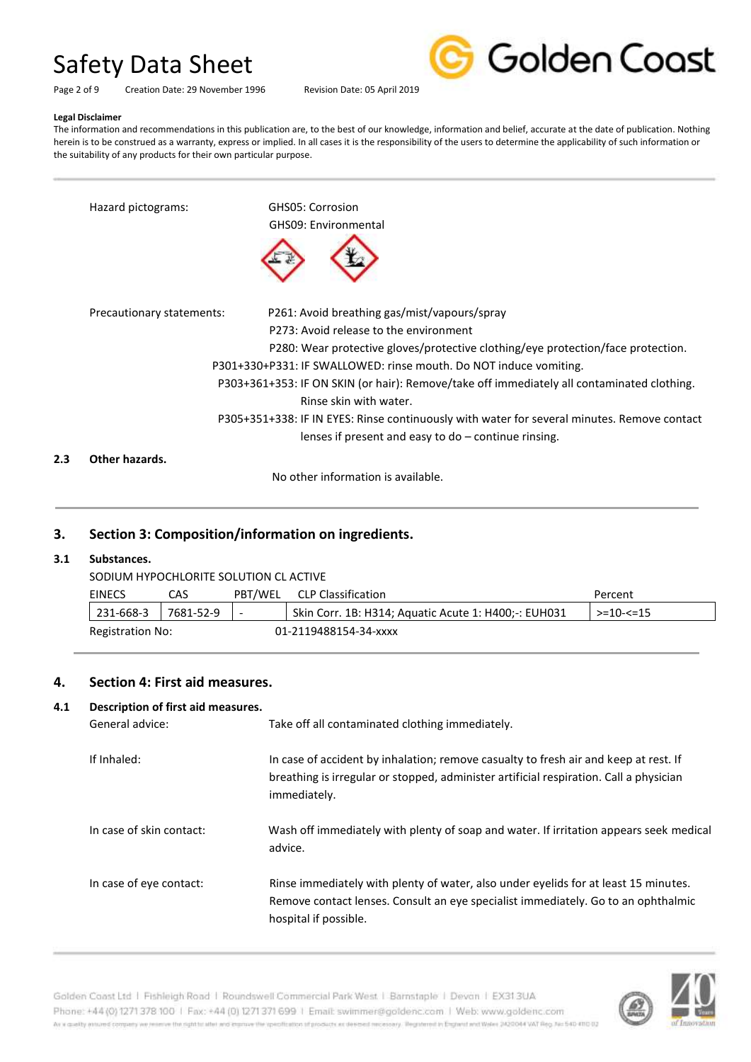

Page 2 of 9 Creation Date: 29 November 1996 Revision Date: 05 April 2019

#### **Legal Disclaimer**

The information and recommendations in this publication are, to the best of our knowledge, information and belief, accurate at the date of publication. Nothing herein is to be construed as a warranty, express or implied. In all cases it is the responsibility of the users to determine the applicability of such information or the suitability of any products for their own particular purpose.

|     | Hazard pictograms:        | GHS05: Corrosion<br>GHS09: Environmental                                                                                                                                                                                                                                                                                                                                                                                                                                                                                         |
|-----|---------------------------|----------------------------------------------------------------------------------------------------------------------------------------------------------------------------------------------------------------------------------------------------------------------------------------------------------------------------------------------------------------------------------------------------------------------------------------------------------------------------------------------------------------------------------|
|     | Precautionary statements: | P261: Avoid breathing gas/mist/vapours/spray<br>P273: Avoid release to the environment<br>P280: Wear protective gloves/protective clothing/eye protection/face protection.<br>P301+330+P331: IF SWALLOWED: rinse mouth. Do NOT induce vomiting.<br>P303+361+353: IF ON SKIN (or hair): Remove/take off immediately all contaminated clothing.<br>Rinse skin with water.<br>P305+351+338: IF IN EYES: Rinse continuously with water for several minutes. Remove contact<br>lenses if present and easy to $do$ – continue rinsing. |
| 2.3 | Other hazards.            |                                                                                                                                                                                                                                                                                                                                                                                                                                                                                                                                  |

No other information is available.

### **3. Section 3: Composition/information on ingredients.**

#### **3.1 Substances.**

SODIUM HYPOCHLORITE SOLUTION CL ACTIVE

|                                           | EINECS    | CAS.      | PBT/WEL | CLP Classification                                    | Percent           |
|-------------------------------------------|-----------|-----------|---------|-------------------------------------------------------|-------------------|
|                                           | 231-668-3 | 7681-52-9 |         | Skin Corr. 1B: H314; Aguatic Acute 1: H400; -: EUH031 | $> = 10 - 5 = 15$ |
| 01-2119488154-34-xxxx<br>Registration No: |           |           |         |                                                       |                   |

### **4. Section 4: First aid measures.**

#### **4.1 Description of first aid measures.**

| General advice:          | Take off all contaminated clothing immediately.                                                                                                                                                   |
|--------------------------|---------------------------------------------------------------------------------------------------------------------------------------------------------------------------------------------------|
| If Inhaled:              | In case of accident by inhalation; remove casualty to fresh air and keep at rest. If<br>breathing is irregular or stopped, administer artificial respiration. Call a physician<br>immediately.    |
| In case of skin contact: | Wash off immediately with plenty of soap and water. If irritation appears seek medical<br>advice.                                                                                                 |
| In case of eye contact:  | Rinse immediately with plenty of water, also under eyelids for at least 15 minutes.<br>Remove contact lenses. Consult an eye specialist immediately. Go to an ophthalmic<br>hospital if possible. |



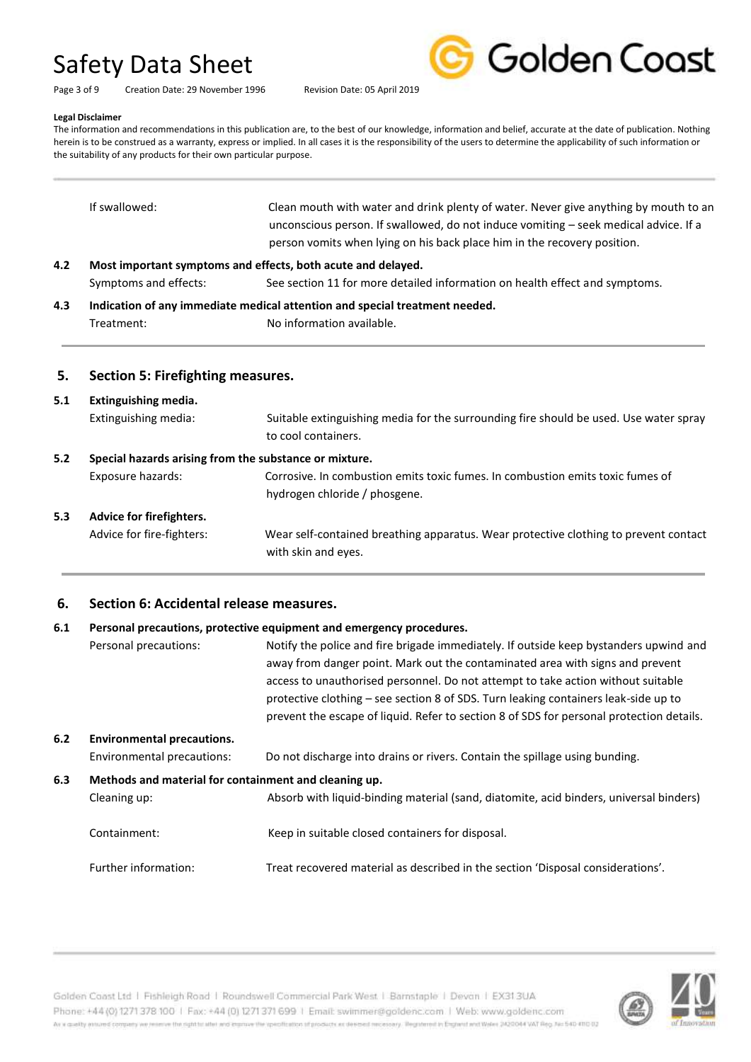Golden Coast

Page 3 of 9 Creation Date: 29 November 1996 Revision Date: 05 April 2019

#### **Legal Disclaimer**

The information and recommendations in this publication are, to the best of our knowledge, information and belief, accurate at the date of publication. Nothing herein is to be construed as a warranty, express or implied. In all cases it is the responsibility of the users to determine the applicability of such information or the suitability of any products for their own particular purpose.

|     | If swallowed:         | Clean mouth with water and drink plenty of water. Never give anything by mouth to an<br>unconscious person. If swallowed, do not induce vomiting – seek medical advice. If a |
|-----|-----------------------|------------------------------------------------------------------------------------------------------------------------------------------------------------------------------|
|     |                       | person vomits when lying on his back place him in the recovery position.                                                                                                     |
| 4.2 |                       | Most important symptoms and effects, both acute and delayed.                                                                                                                 |
|     | Symptoms and effects: | See section 11 for more detailed information on health effect and symptoms.                                                                                                  |

**4.3 Indication of any immediate medical attention and special treatment needed.** Treatment: No information available.

#### **5. Section 5: Firefighting measures.**

# **5.1 Extinguishing media.** Extinguishing media: Suitable extinguishing media for the surrounding fire should be used. Use water spray to cool containers. **5.2 Special hazards arising from the substance or mixture.** Exposure hazards: Corrosive. In combustion emits toxic fumes. In combustion emits toxic fumes of hydrogen chloride / phosgene. **5.3 Advice for firefighters.** Advice for fire-fighters: Wear self-contained breathing apparatus. Wear protective clothing to prevent contact with skin and eyes.

### **6. Section 6: Accidental release measures.**

#### **6.1 Personal precautions, protective equipment and emergency procedures.**

|     | Personal precautions:                                                 | Notify the police and fire brigade immediately. If outside keep bystanders upwind and<br>away from danger point. Mark out the contaminated area with signs and prevent<br>access to unauthorised personnel. Do not attempt to take action without suitable<br>protective clothing – see section 8 of SDS. Turn leaking containers leak-side up to<br>prevent the escape of liquid. Refer to section 8 of SDS for personal protection details. |
|-----|-----------------------------------------------------------------------|-----------------------------------------------------------------------------------------------------------------------------------------------------------------------------------------------------------------------------------------------------------------------------------------------------------------------------------------------------------------------------------------------------------------------------------------------|
| 6.2 | <b>Environmental precautions.</b><br>Environmental precautions:       | Do not discharge into drains or rivers. Contain the spillage using bunding.                                                                                                                                                                                                                                                                                                                                                                   |
| 6.3 | Methods and material for containment and cleaning up.<br>Cleaning up: | Absorb with liquid-binding material (sand, diatomite, acid binders, universal binders)                                                                                                                                                                                                                                                                                                                                                        |
|     | Containment:                                                          | Keep in suitable closed containers for disposal.                                                                                                                                                                                                                                                                                                                                                                                              |
|     | Further information:                                                  | Treat recovered material as described in the section 'Disposal considerations'.                                                                                                                                                                                                                                                                                                                                                               |



Golden Coast Ltd | Fishleigh Road | Roundswell Commercial Park West | Barnstaple | Devon | EX313UA Phone: +44 (0) 1271 378 100 | Fax: +44 (0) 1271 371 699 | Email: swimmer@goldenc.com | Web: www.goldenc.com As a quality annumel company we renewe the right to aller wid improve the specification of products as deemed recessory. Registered in England and Wales 2420044 VAT Reg. No 540-410 02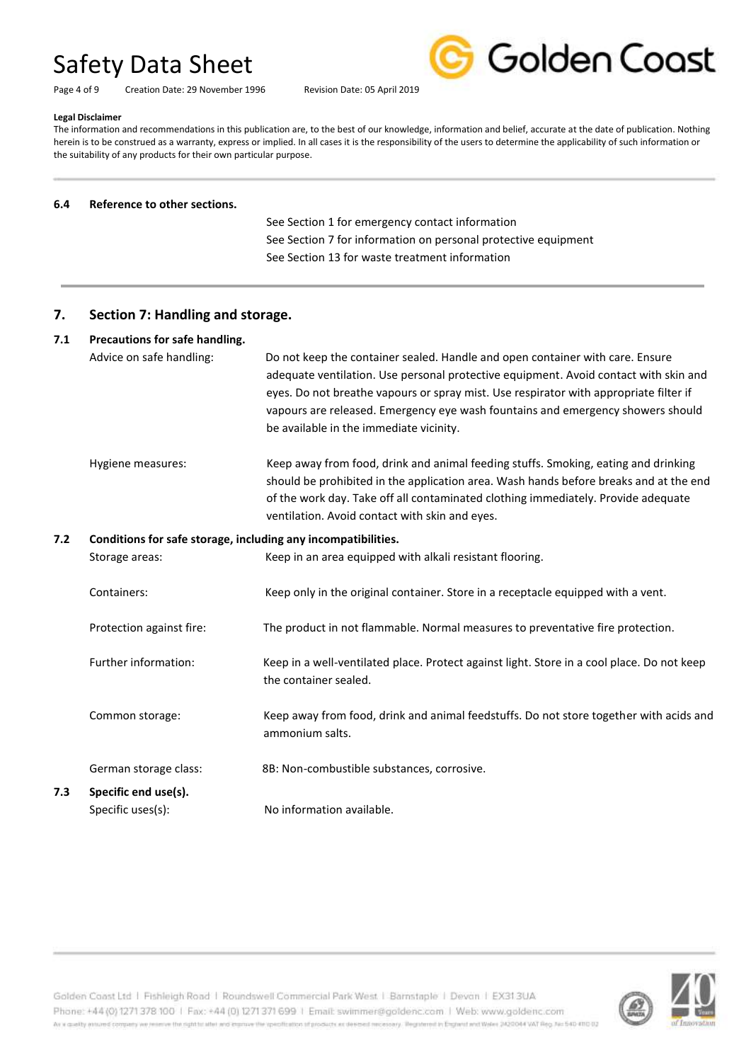Page 4 of 9 Creation Date: 29 November 1996 Revision Date: 05 April 2019



#### **Legal Disclaimer**

The information and recommendations in this publication are, to the best of our knowledge, information and belief, accurate at the date of publication. Nothing herein is to be construed as a warranty, express or implied. In all cases it is the responsibility of the users to determine the applicability of such information or the suitability of any products for their own particular purpose.

#### **6.4 Reference to other sections.**

 See Section 1 for emergency contact information See Section 7 for information on personal protective equipment See Section 13 for waste treatment information

### **7. Section 7: Handling and storage.**

#### **7.1 Precautions for safe handling.**

| Advice on safe handling: | Do not keep the container sealed. Handle and open container with care. Ensure         |
|--------------------------|---------------------------------------------------------------------------------------|
|                          | adequate ventilation. Use personal protective equipment. Avoid contact with skin and  |
|                          | eyes. Do not breathe vapours or spray mist. Use respirator with appropriate filter if |
|                          | vapours are released. Emergency eye wash fountains and emergency showers should       |
|                          | be available in the immediate vicinity.                                               |
|                          |                                                                                       |

Hygiene measures: Keep away from food, drink and animal feeding stuffs. Smoking, eating and drinking should be prohibited in the application area. Wash hands before breaks and at the end of the work day. Take off all contaminated clothing immediately. Provide adequate ventilation. Avoid contact with skin and eyes.

#### **7.2 Conditions for safe storage, including any incompatibilities.**

Storage areas: Keep in an area equipped with alkali resistant flooring. Containers: Keep only in the original container. Store in a receptacle equipped with a vent. Protection against fire: The product in not flammable. Normal measures to preventative fire protection. Further information: Keep in a well-ventilated place. Protect against light. Store in a cool place. Do not keep the container sealed. Common storage: Keep away from food, drink and animal feedstuffs. Do not store together with acids and ammonium salts. German storage class: 8B: Non-combustible substances, corrosive.

**7.3 Specific end use(s).** Specific uses(s): No information available.

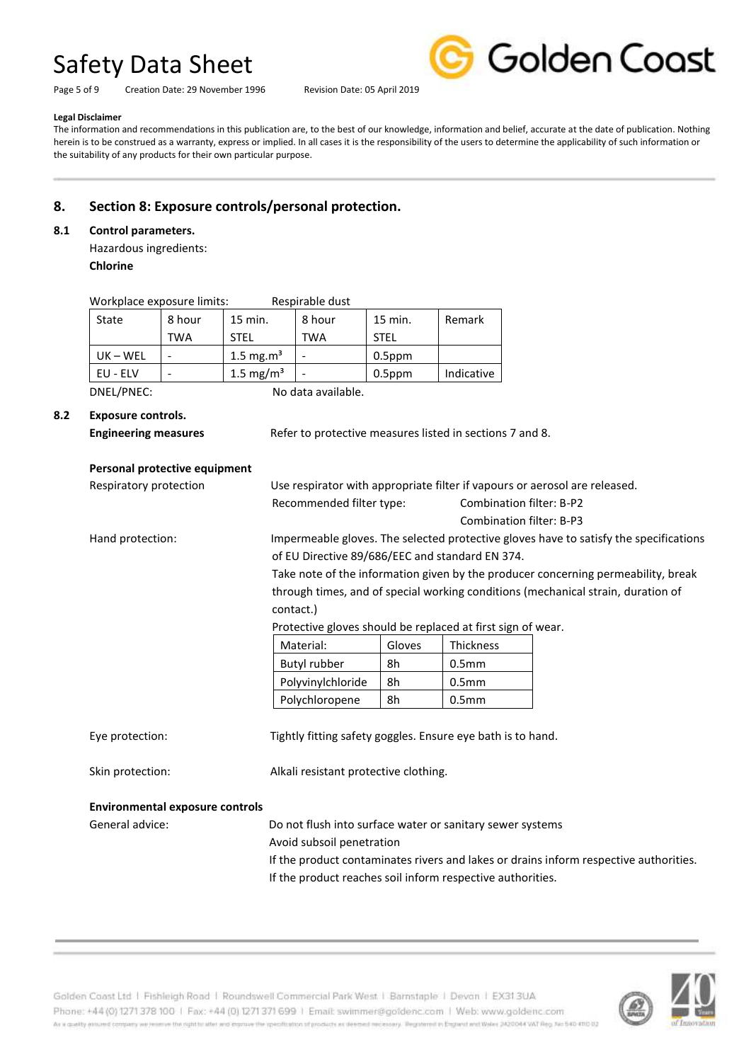Page 5 of 9 Creation Date: 29 November 1996 Revision Date: 05 April 2019



#### **Legal Disclaimer**

The information and recommendations in this publication are, to the best of our knowledge, information and belief, accurate at the date of publication. Nothing herein is to be construed as a warranty, express or implied. In all cases it is the responsibility of the users to determine the applicability of such information or the suitability of any products for their own particular purpose.

## **8. Section 8: Exposure controls/personal protection.**

#### **8.1 Control parameters.**

Hazardous ingredients: **Chlorine**

| Respirable dust<br>Workplace exposure limits: |            |              |        |             |            |
|-----------------------------------------------|------------|--------------|--------|-------------|------------|
| State                                         | 8 hour     | 15 min.      | 8 hour | 15 min.     | Remark     |
|                                               | <b>TWA</b> | <b>STFL</b>  | TWA    | <b>STEL</b> |            |
| $UK - WEL$                                    |            | 1.5 mg.m $3$ |        | $0.5$ ppm   |            |
| EU - ELV                                      |            | 1.5 mg/ $m3$ |        | $0.5$ ppm   | Indicative |

DNEL/PNEC: No data available.

#### **8.2 Exposure controls.**

|  | <b>Engineering measures</b> |
|--|-----------------------------|

**Engineering measures** Refer to protective measures listed in sections 7 and 8.

#### **Personal protective equipment**

| Respiratory protection                 | Use respirator with appropriate filter if vapours or aerosol are released. |        |                                 |                                                                                       |
|----------------------------------------|----------------------------------------------------------------------------|--------|---------------------------------|---------------------------------------------------------------------------------------|
|                                        | Recommended filter type:                                                   |        | <b>Combination filter: B-P2</b> |                                                                                       |
|                                        |                                                                            |        | <b>Combination filter: B-P3</b> |                                                                                       |
| Hand protection:                       |                                                                            |        |                                 | Impermeable gloves. The selected protective gloves have to satisfy the specifications |
|                                        | of EU Directive 89/686/EEC and standard EN 374.                            |        |                                 |                                                                                       |
|                                        |                                                                            |        |                                 | Take note of the information given by the producer concerning permeability, break     |
|                                        |                                                                            |        |                                 | through times, and of special working conditions (mechanical strain, duration of      |
|                                        | contact.)                                                                  |        |                                 |                                                                                       |
|                                        | Protective gloves should be replaced at first sign of wear.                |        |                                 |                                                                                       |
|                                        | Material:                                                                  | Gloves | <b>Thickness</b>                |                                                                                       |
|                                        | Butyl rubber                                                               | 8h     | 0.5 <sub>mm</sub>               |                                                                                       |
|                                        | Polyvinylchloride                                                          | 8h     | 0.5 <sub>mm</sub>               |                                                                                       |
|                                        | Polychloropene                                                             | 8h     | 0.5 <sub>mm</sub>               |                                                                                       |
|                                        |                                                                            |        |                                 |                                                                                       |
| Eye protection:                        | Tightly fitting safety goggles. Ensure eye bath is to hand.                |        |                                 |                                                                                       |
|                                        |                                                                            |        |                                 |                                                                                       |
| Skin protection:                       | Alkali resistant protective clothing.                                      |        |                                 |                                                                                       |
|                                        |                                                                            |        |                                 |                                                                                       |
| <b>Environmental exposure controls</b> |                                                                            |        |                                 |                                                                                       |
| General advice:                        | Do not flush into surface water or sanitary sewer systems                  |        |                                 |                                                                                       |
|                                        | Avoid subsoil penetration                                                  |        |                                 |                                                                                       |
|                                        |                                                                            |        |                                 | If the product contaminates rivers and lakes or drains inform respective authorities. |
|                                        | If the product reaches soil inform respective authorities.                 |        |                                 |                                                                                       |

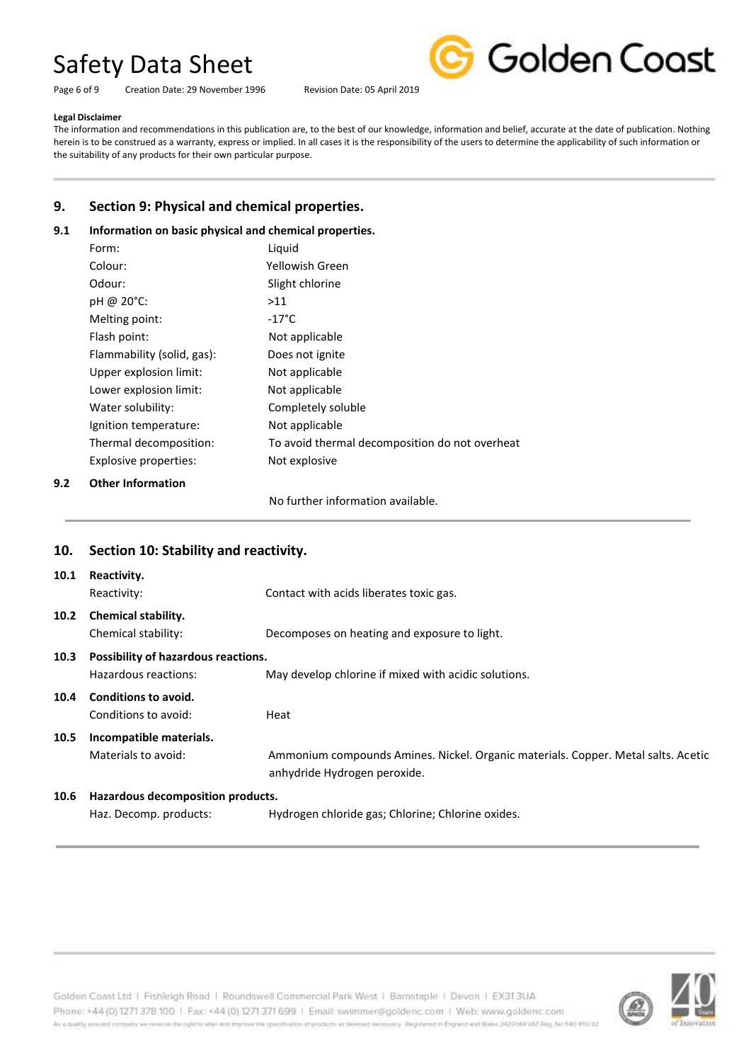Page 6 of 9 Creation Date: 29 November 1996 Revision Date: 05 April 2019



#### **Legal Disclaimer**

The information and recommendations in this publication are, to the best of our knowledge, information and belief, accurate at the date of publication. Nothing herein is to be construed as a warranty, express or implied. In all cases it is the responsibility of the users to determine the applicability of such information or the suitability of any products for their own particular purpose.

## **9. Section 9: Physical and chemical properties.**

#### **9.1 Information on basic physical and chemical properties.**

| Form:                      | Liquid                                         |
|----------------------------|------------------------------------------------|
| Colour:                    | Yellowish Green                                |
| Odour:                     | Slight chlorine                                |
| pH @ 20°C:                 | >11                                            |
| Melting point:             | $-17^{\circ}$ C                                |
| Flash point:               | Not applicable                                 |
| Flammability (solid, gas): | Does not ignite                                |
| Upper explosion limit:     | Not applicable                                 |
| Lower explosion limit:     | Not applicable                                 |
| Water solubility:          | Completely soluble                             |
| Ignition temperature:      | Not applicable                                 |
| Thermal decomposition:     | To avoid thermal decomposition do not overheat |
| Explosive properties:      | Not explosive                                  |
| Othor Information          |                                                |

**9.2 Other Information**

No further information available.

|      | 10. Section 10: Stability and reactivity.                   |                                                                                                                   |
|------|-------------------------------------------------------------|-------------------------------------------------------------------------------------------------------------------|
| 10.1 | Reactivity.<br>Reactivity:                                  | Contact with acids liberates toxic gas.                                                                           |
| 10.2 | <b>Chemical stability.</b><br>Chemical stability:           | Decomposes on heating and exposure to light.                                                                      |
| 10.3 | Possibility of hazardous reactions.<br>Hazardous reactions: | May develop chlorine if mixed with acidic solutions.                                                              |
| 10.4 | Conditions to avoid.<br>Conditions to avoid:                | Heat                                                                                                              |
| 10.5 | Incompatible materials.<br>Materials to avoid:              | Ammonium compounds Amines. Nickel. Organic materials. Copper. Metal salts. Acetic<br>anhydride Hydrogen peroxide. |
| 10.6 | Hazardous decomposition products.<br>Haz. Decomp. products: | Hydrogen chloride gas; Chlorine; Chlorine oxides.                                                                 |

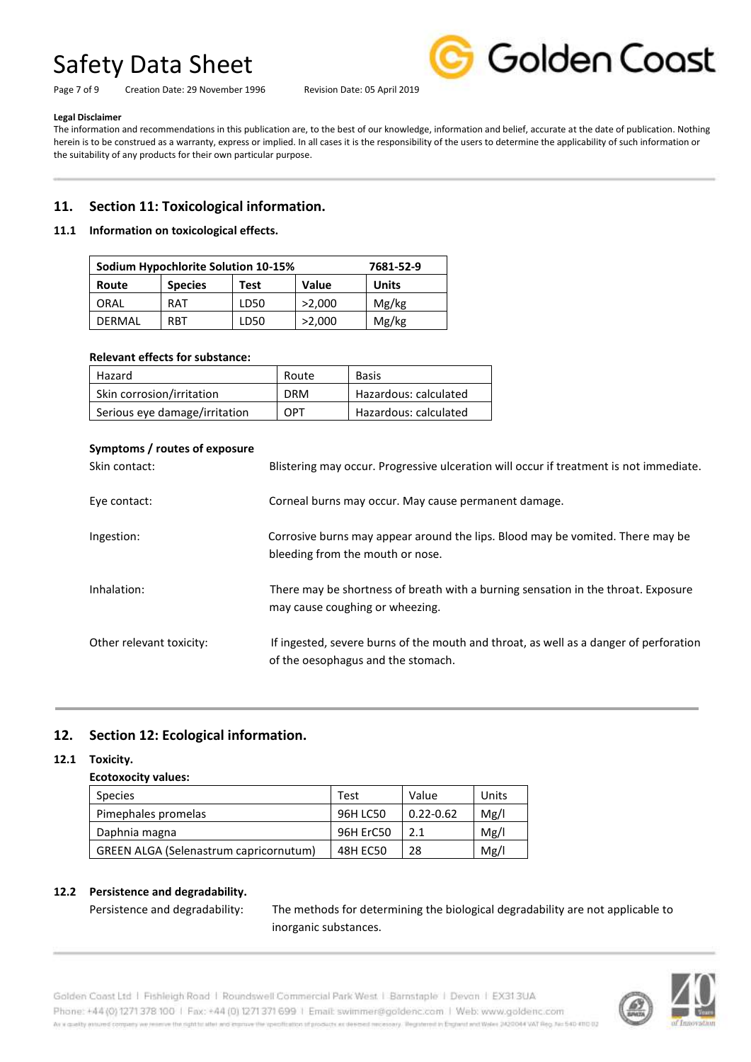

Page 7 of 9 Creation Date: 29 November 1996 Revision Date: 05 April 2019

#### **Legal Disclaimer**

The information and recommendations in this publication are, to the best of our knowledge, information and belief, accurate at the date of publication. Nothing herein is to be construed as a warranty, express or implied. In all cases it is the responsibility of the users to determine the applicability of such information or the suitability of any products for their own particular purpose.

## **11. Section 11: Toxicological information.**

#### **11.1 Information on toxicological effects.**

| Sodium Hypochlorite Solution 10-15%<br>7681-52-9 |                |      |        |              |
|--------------------------------------------------|----------------|------|--------|--------------|
| Route                                            | <b>Species</b> | Test | Value  | <b>Units</b> |
| ORAL                                             | <b>RAT</b>     | LD50 | >2.000 | Mg/kg        |
| DFRMAL                                           | RRT            | LD50 | >2,000 | Mg/kg        |

#### **Relevant effects for substance:**

| Hazard                        | Route      | <b>Basis</b>          |
|-------------------------------|------------|-----------------------|
| Skin corrosion/irritation     | <b>DRM</b> | Hazardous: calculated |
| Serious eye damage/irritation | OPT        | Hazardous: calculated |

#### **Symptoms / routes of exposure**

| Skin contact:            | Blistering may occur. Progressive ulceration will occur if treatment is not immediate.                                      |
|--------------------------|-----------------------------------------------------------------------------------------------------------------------------|
| Eye contact:             | Corneal burns may occur. May cause permanent damage.                                                                        |
| Ingestion:               | Corrosive burns may appear around the lips. Blood may be vomited. There may be<br>bleeding from the mouth or nose.          |
| Inhalation:              | There may be shortness of breath with a burning sensation in the throat. Exposure<br>may cause coughing or wheezing.        |
| Other relevant toxicity: | If ingested, severe burns of the mouth and throat, as well as a danger of perforation<br>of the oesophagus and the stomach. |

## **12. Section 12: Ecological information.**

#### **12.1 Toxicity.**

#### **Ecotoxocity values:**

| <b>Species</b>                                | Test            | Value         | Units |
|-----------------------------------------------|-----------------|---------------|-------|
| Pimephales promelas                           | 96H LC50        | $0.22 - 0.62$ | Mg/l  |
| Daphnia magna                                 | 96H ErC50       |               | Mg/l  |
| <b>GREEN ALGA (Selenastrum capricornutum)</b> | <b>48H EC50</b> | 28            | Mg/l  |

#### **12.2 Persistence and degradability.**

Persistence and degradability: The methods for determining the biological degradability are not applicable to inorganic substances.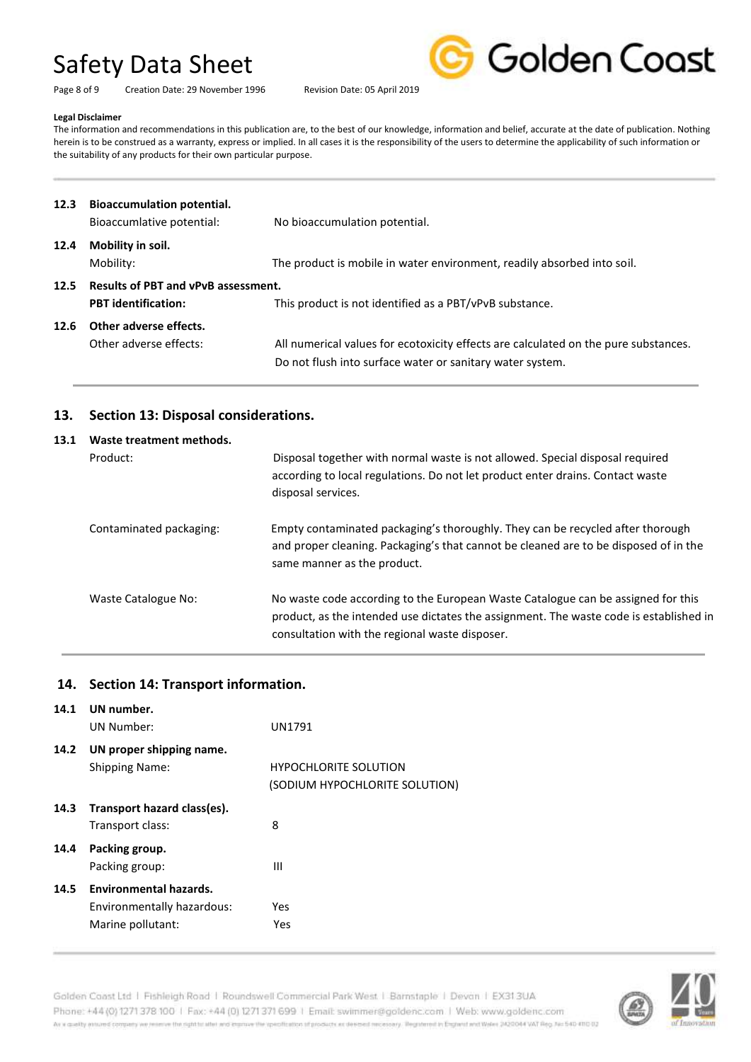Page 8 of 9 Creation Date: 29 November 1996 Revision Date: 05 April 2019



#### **Legal Disclaimer**

The information and recommendations in this publication are, to the best of our knowledge, information and belief, accurate at the date of publication. Nothing herein is to be construed as a warranty, express or implied. In all cases it is the responsibility of the users to determine the applicability of such information or the suitability of any products for their own particular purpose.

| 12.3 | <b>Bioaccumulation potential.</b><br>Bioaccumlative potential:           | No bioaccumulation potential.                                                                                                                    |
|------|--------------------------------------------------------------------------|--------------------------------------------------------------------------------------------------------------------------------------------------|
| 12.4 | Mobility in soil.<br>Mobility:                                           | The product is mobile in water environment, readily absorbed into soil.                                                                          |
| 12.5 | <b>Results of PBT and vPvB assessment.</b><br><b>PBT</b> identification: | This product is not identified as a PBT/vPvB substance.                                                                                          |
| 12.6 | Other adverse effects.<br>Other adverse effects:                         | All numerical values for ecotoxicity effects are calculated on the pure substances.<br>Do not flush into surface water or sanitary water system. |

### **13. Section 13: Disposal considerations.**

| 13.1 | Waste treatment methods. |                                                                                                                                                                                                                              |  |  |
|------|--------------------------|------------------------------------------------------------------------------------------------------------------------------------------------------------------------------------------------------------------------------|--|--|
|      | Product:                 | Disposal together with normal waste is not allowed. Special disposal required<br>according to local regulations. Do not let product enter drains. Contact waste<br>disposal services.                                        |  |  |
|      | Contaminated packaging:  | Empty contaminated packaging's thoroughly. They can be recycled after thorough<br>and proper cleaning. Packaging's that cannot be cleaned are to be disposed of in the<br>same manner as the product.                        |  |  |
|      | Waste Catalogue No:      | No waste code according to the European Waste Catalogue can be assigned for this<br>product, as the intended use dictates the assignment. The waste code is established in<br>consultation with the regional waste disposer. |  |  |

### **14. Section 14: Transport information.**

| 14.1 | UN number.                    |                                |
|------|-------------------------------|--------------------------------|
|      | UN Number:                    | UN1791                         |
| 14.2 | UN proper shipping name.      |                                |
|      | <b>Shipping Name:</b>         | <b>HYPOCHLORITE SOLUTION</b>   |
|      |                               | (SODIUM HYPOCHLORITE SOLUTION) |
| 14.3 | Transport hazard class(es).   |                                |
|      | Transport class:              | 8                              |
| 14.4 | Packing group.                |                                |
|      | Packing group:                | Ш                              |
| 14.5 | <b>Environmental hazards.</b> |                                |
|      | Environmentally hazardous:    | Yes                            |
|      | Marine pollutant:             | Yes                            |
|      |                               |                                |

Golden Coast Ltd | Fishleigh Road | Roundswell Commercial Park West | Barnstaple | Devon | EX313UA Phone: +44 (0) 1271 378 100 | Fax: +44 (0) 1271 371 699 | Email: swimmer@goldenc.com | Web: www.goldenc.com As a quality ensured company we reserve the right to after and enprice the specification of products as deepent recessary. Registered in England and Wales (AQDO44 VAT Reg. Just 540-410 D2